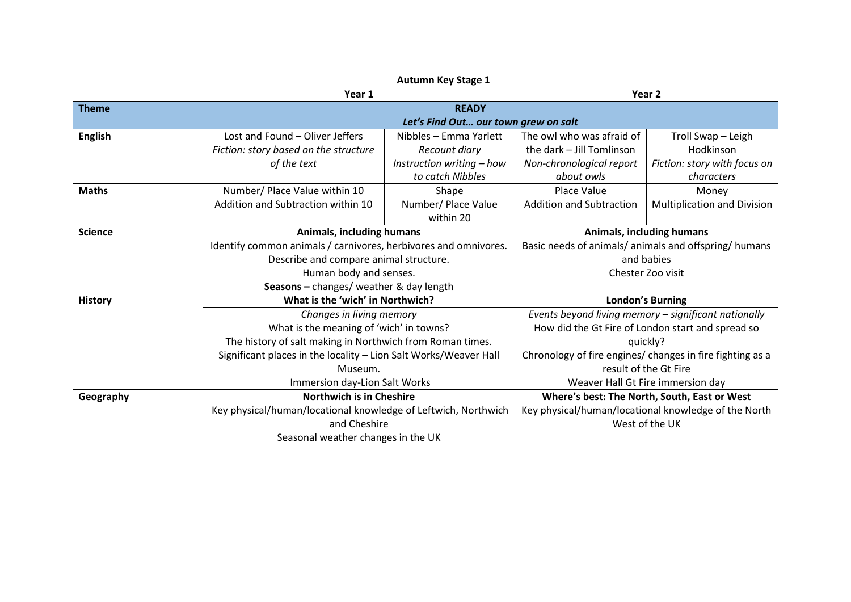|                |                                       | <b>Autumn Key Stage 1</b>                                        |                                 |                                                           |  |
|----------------|---------------------------------------|------------------------------------------------------------------|---------------------------------|-----------------------------------------------------------|--|
|                | Year 1                                |                                                                  |                                 | Year <sub>2</sub>                                         |  |
| <b>Theme</b>   |                                       | <b>READY</b>                                                     |                                 |                                                           |  |
|                | Let's Find Out our town grew on salt  |                                                                  |                                 |                                                           |  |
| <b>English</b> | Lost and Found - Oliver Jeffers       | Nibbles - Emma Yarlett                                           | The owl who was afraid of       | Troll Swap - Leigh                                        |  |
|                | Fiction: story based on the structure | Recount diary                                                    | the dark - Jill Tomlinson       | Hodkinson                                                 |  |
|                | of the text                           | Instruction writing - how                                        | Non-chronological report        | Fiction: story with focus on                              |  |
|                |                                       | to catch Nibbles                                                 | about owls                      | characters                                                |  |
| <b>Maths</b>   | Number/ Place Value within 10         | Shape                                                            | Place Value                     | Money                                                     |  |
|                | Addition and Subtraction within 10    | Number/ Place Value                                              | <b>Addition and Subtraction</b> | <b>Multiplication and Division</b>                        |  |
|                |                                       | within 20                                                        |                                 |                                                           |  |
| <b>Science</b> | Animals, including humans             |                                                                  | Animals, including humans       |                                                           |  |
|                |                                       | Identify common animals / carnivores, herbivores and omnivores.  |                                 | Basic needs of animals/ animals and offspring/ humans     |  |
|                |                                       | Describe and compare animal structure.                           |                                 | and babies                                                |  |
|                |                                       | Human body and senses.                                           |                                 | Chester Zoo visit                                         |  |
|                |                                       | Seasons - changes/ weather & day length                          |                                 |                                                           |  |
| <b>History</b> | What is the 'wich' in Northwich?      |                                                                  |                                 | <b>London's Burning</b>                                   |  |
|                |                                       | Changes in living memory                                         |                                 | Events beyond living memory - significant nationally      |  |
|                |                                       | What is the meaning of 'wich' in towns?                          |                                 | How did the Gt Fire of London start and spread so         |  |
|                |                                       | The history of salt making in Northwich from Roman times.        |                                 | quickly?                                                  |  |
|                |                                       | Significant places in the locality - Lion Salt Works/Weaver Hall |                                 | Chronology of fire engines/ changes in fire fighting as a |  |
|                | Museum.                               |                                                                  | result of the Gt Fire           |                                                           |  |
|                |                                       | Immersion day-Lion Salt Works                                    |                                 | Weaver Hall Gt Fire immersion day                         |  |
| Geography      |                                       | <b>Northwich is in Cheshire</b>                                  |                                 | Where's best: The North, South, East or West              |  |
|                |                                       | Key physical/human/locational knowledge of Leftwich, Northwich   |                                 | Key physical/human/locational knowledge of the North      |  |
|                | and Cheshire                          |                                                                  |                                 | West of the UK                                            |  |
|                | Seasonal weather changes in the UK    |                                                                  |                                 |                                                           |  |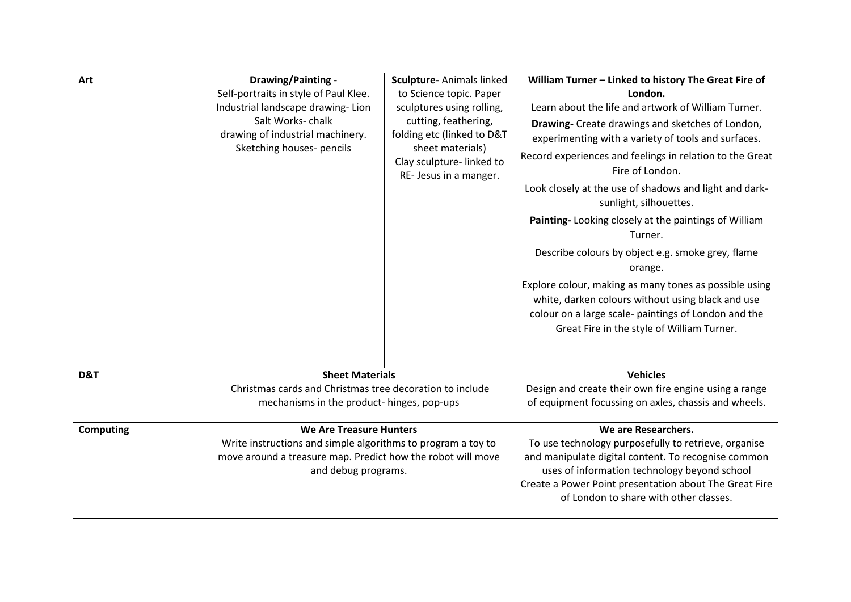| Art              | Drawing/Painting -<br>Self-portraits in style of Paul Klee.<br>Industrial landscape drawing-Lion<br>Salt Works-chalk<br>drawing of industrial machinery.<br>Sketching houses- pencils | Sculpture- Animals linked<br>to Science topic. Paper<br>sculptures using rolling,<br>cutting, feathering,<br>folding etc (linked to D&T<br>sheet materials)<br>Clay sculpture-linked to<br>RE-Jesus in a manger. | William Turner - Linked to history The Great Fire of<br>London.<br>Learn about the life and artwork of William Turner.<br>Drawing- Create drawings and sketches of London,<br>experimenting with a variety of tools and surfaces.<br>Record experiences and feelings in relation to the Great<br>Fire of London.<br>Look closely at the use of shadows and light and dark-<br>sunlight, silhouettes.<br>Painting-Looking closely at the paintings of William<br>Turner.<br>Describe colours by object e.g. smoke grey, flame<br>orange.<br>Explore colour, making as many tones as possible using<br>white, darken colours without using black and use<br>colour on a large scale- paintings of London and the<br>Great Fire in the style of William Turner. |
|------------------|---------------------------------------------------------------------------------------------------------------------------------------------------------------------------------------|------------------------------------------------------------------------------------------------------------------------------------------------------------------------------------------------------------------|--------------------------------------------------------------------------------------------------------------------------------------------------------------------------------------------------------------------------------------------------------------------------------------------------------------------------------------------------------------------------------------------------------------------------------------------------------------------------------------------------------------------------------------------------------------------------------------------------------------------------------------------------------------------------------------------------------------------------------------------------------------|
|                  |                                                                                                                                                                                       |                                                                                                                                                                                                                  |                                                                                                                                                                                                                                                                                                                                                                                                                                                                                                                                                                                                                                                                                                                                                              |
| D&T              | <b>Sheet Materials</b><br>Christmas cards and Christmas tree decoration to include<br>mechanisms in the product- hinges, pop-ups                                                      |                                                                                                                                                                                                                  | <b>Vehicles</b><br>Design and create their own fire engine using a range<br>of equipment focussing on axles, chassis and wheels.                                                                                                                                                                                                                                                                                                                                                                                                                                                                                                                                                                                                                             |
| <b>Computing</b> | <b>We Are Treasure Hunters</b><br>Write instructions and simple algorithms to program a toy to<br>move around a treasure map. Predict how the robot will move<br>and debug programs.  |                                                                                                                                                                                                                  | We are Researchers.<br>To use technology purposefully to retrieve, organise<br>and manipulate digital content. To recognise common<br>uses of information technology beyond school<br>Create a Power Point presentation about The Great Fire<br>of London to share with other classes.                                                                                                                                                                                                                                                                                                                                                                                                                                                                       |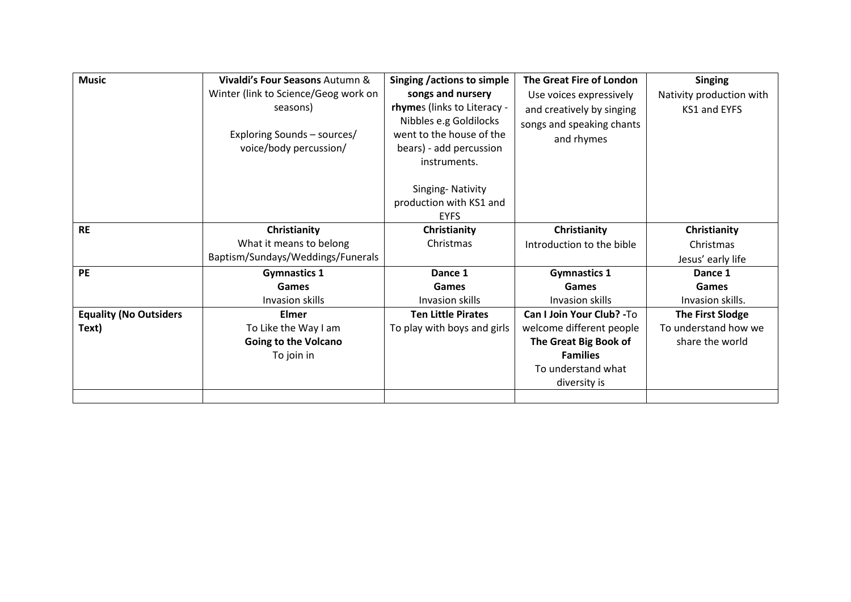| <b>Music</b>                  | Vivaldi's Four Seasons Autumn &      | Singing / actions to simple | The Great Fire of London   | <b>Singing</b>           |
|-------------------------------|--------------------------------------|-----------------------------|----------------------------|--------------------------|
|                               | Winter (link to Science/Geog work on | songs and nursery           | Use voices expressively    | Nativity production with |
|                               | seasons)                             | rhymes (links to Literacy - | and creatively by singing  | KS1 and EYFS             |
|                               |                                      | Nibbles e.g Goldilocks      | songs and speaking chants  |                          |
|                               | Exploring Sounds - sources/          | went to the house of the    | and rhymes                 |                          |
|                               | voice/body percussion/               | bears) - add percussion     |                            |                          |
|                               |                                      | instruments.                |                            |                          |
|                               |                                      |                             |                            |                          |
|                               |                                      | Singing-Nativity            |                            |                          |
|                               |                                      | production with KS1 and     |                            |                          |
|                               |                                      | <b>EYFS</b>                 |                            |                          |
| <b>RE</b>                     | Christianity                         | Christianity                | Christianity               | Christianity             |
|                               | What it means to belong              | Christmas                   | Introduction to the bible  | Christmas                |
|                               | Baptism/Sundays/Weddings/Funerals    |                             |                            | Jesus' early life        |
| <b>PE</b>                     | <b>Gymnastics 1</b>                  | Dance 1                     | <b>Gymnastics 1</b>        | Dance 1                  |
|                               | Games                                | Games                       | Games                      | Games                    |
|                               | Invasion skills                      | Invasion skills             | Invasion skills            | Invasion skills.         |
| <b>Equality (No Outsiders</b> | Elmer                                | <b>Ten Little Pirates</b>   | Can I Join Your Club? - To | <b>The First Slodge</b>  |
| Text)                         | To Like the Way I am                 | To play with boys and girls | welcome different people   | To understand how we     |
|                               | <b>Going to the Volcano</b>          |                             | The Great Big Book of      | share the world          |
|                               | To join in                           |                             | <b>Families</b>            |                          |
|                               |                                      |                             | To understand what         |                          |
|                               |                                      |                             | diversity is               |                          |
|                               |                                      |                             |                            |                          |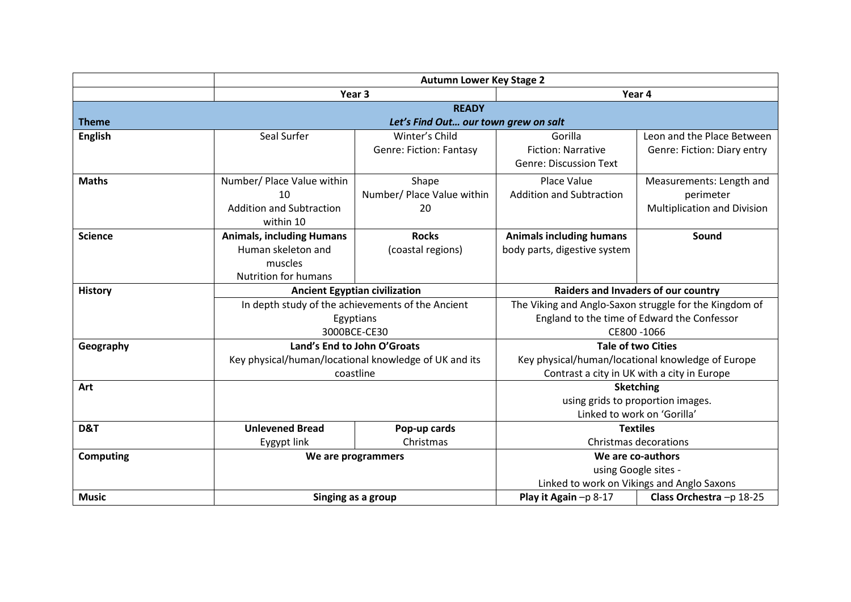|                  |                                                                                                  | <b>Autumn Lower Key Stage 2</b>                                                      |                                                                                                  |                                                                                                                     |  |  |
|------------------|--------------------------------------------------------------------------------------------------|--------------------------------------------------------------------------------------|--------------------------------------------------------------------------------------------------|---------------------------------------------------------------------------------------------------------------------|--|--|
|                  |                                                                                                  | Year <sub>3</sub>                                                                    |                                                                                                  | Year 4                                                                                                              |  |  |
|                  |                                                                                                  | <b>READY</b>                                                                         |                                                                                                  |                                                                                                                     |  |  |
| <b>Theme</b>     |                                                                                                  | Let's Find Out our town grew on salt                                                 |                                                                                                  |                                                                                                                     |  |  |
| <b>English</b>   | Seal Surfer                                                                                      | Winter's Child<br><b>Genre: Fiction: Fantasy</b>                                     | Gorilla<br><b>Fiction: Narrative</b><br><b>Genre: Discussion Text</b>                            | Leon and the Place Between<br>Genre: Fiction: Diary entry                                                           |  |  |
| <b>Maths</b>     | Number/ Place Value within<br>10<br><b>Addition and Subtraction</b><br>within 10                 | Shape<br>Number/ Place Value within<br>20                                            | Place Value<br><b>Addition and Subtraction</b>                                                   | Measurements: Length and<br>perimeter<br><b>Multiplication and Division</b>                                         |  |  |
| <b>Science</b>   | <b>Animals, including Humans</b><br>Human skeleton and<br>muscles<br><b>Nutrition for humans</b> | <b>Rocks</b><br>(coastal regions)                                                    | <b>Animals including humans</b><br>body parts, digestive system                                  | Sound                                                                                                               |  |  |
| <b>History</b>   |                                                                                                  | <b>Ancient Egyptian civilization</b>                                                 |                                                                                                  | Raiders and Invaders of our country                                                                                 |  |  |
|                  |                                                                                                  | In depth study of the achievements of the Ancient<br>Egyptians<br>3000BCE-CE30       |                                                                                                  | The Viking and Anglo-Saxon struggle for the Kingdom of<br>England to the time of Edward the Confessor<br>CE800-1066 |  |  |
| Geography        |                                                                                                  | Land's End to John O'Groats<br>Key physical/human/locational knowledge of UK and its |                                                                                                  | <b>Tale of two Cities</b>                                                                                           |  |  |
|                  |                                                                                                  | coastline                                                                            | Key physical/human/locational knowledge of Europe<br>Contrast a city in UK with a city in Europe |                                                                                                                     |  |  |
| Art              |                                                                                                  |                                                                                      |                                                                                                  | <b>Sketching</b><br>using grids to proportion images.<br>Linked to work on 'Gorilla'                                |  |  |
| D&T              | <b>Unlevened Bread</b><br>Eygypt link                                                            | Pop-up cards<br>Christmas                                                            | <b>Textiles</b><br>Christmas decorations                                                         |                                                                                                                     |  |  |
| <b>Computing</b> |                                                                                                  | We are programmers                                                                   |                                                                                                  | We are co-authors<br>using Google sites -<br>Linked to work on Vikings and Anglo Saxons                             |  |  |
| <b>Music</b>     |                                                                                                  | Singing as a group                                                                   |                                                                                                  | Class Orchestra-p 18-25                                                                                             |  |  |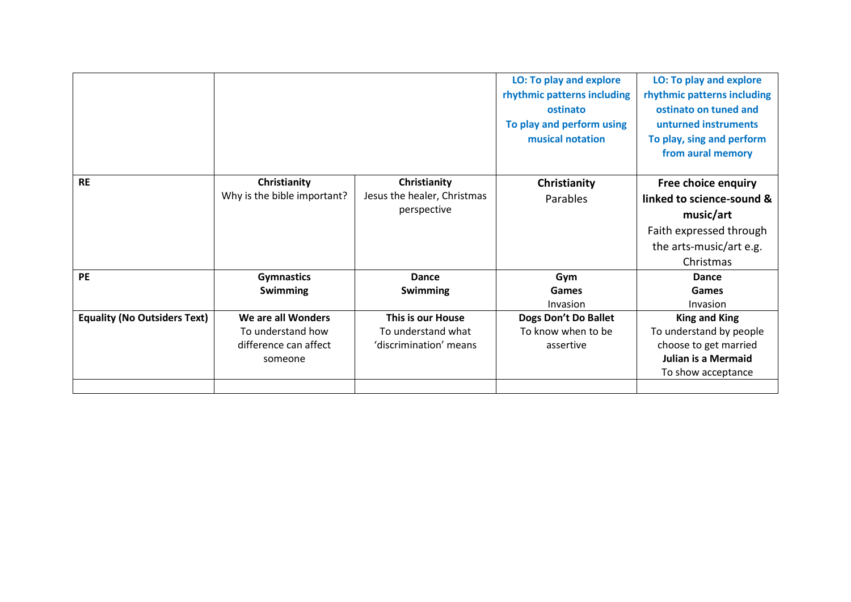|                                     | someone                                 |                                         |                                            | Julian is a Mermaid<br>To show acceptance       |
|-------------------------------------|-----------------------------------------|-----------------------------------------|--------------------------------------------|-------------------------------------------------|
|                                     | difference can affect                   | 'discrimination' means                  | assertive                                  | choose to get married                           |
| <b>Equality (No Outsiders Text)</b> | We are all Wonders<br>To understand how | This is our House<br>To understand what | Dogs Don't Do Ballet<br>To know when to be | <b>King and King</b><br>To understand by people |
|                                     |                                         |                                         | Invasion                                   | Invasion                                        |
|                                     | <b>Swimming</b>                         | Swimming                                | Games                                      | Games                                           |
| PE                                  | <b>Gymnastics</b>                       | Dance                                   | Gym                                        | Dance                                           |
|                                     |                                         |                                         |                                            | Christmas                                       |
|                                     |                                         |                                         |                                            | the arts-music/art e.g.                         |
|                                     |                                         |                                         |                                            | Faith expressed through                         |
|                                     |                                         | perspective                             |                                            | music/art                                       |
|                                     | Why is the bible important?             | Jesus the healer, Christmas             | Parables                                   | linked to science-sound &                       |
| <b>RE</b>                           | Christianity                            | Christianity                            | Christianity                               | Free choice enquiry                             |
|                                     |                                         |                                         |                                            |                                                 |
|                                     |                                         |                                         |                                            | from aural memory                               |
|                                     |                                         |                                         | musical notation                           | To play, sing and perform                       |
|                                     |                                         |                                         | To play and perform using                  | unturned instruments                            |
|                                     |                                         |                                         | ostinato                                   | ostinato on tuned and                           |
|                                     |                                         |                                         | rhythmic patterns including                | rhythmic patterns including                     |
|                                     |                                         |                                         | LO: To play and explore                    | <b>LO: To play and explore</b>                  |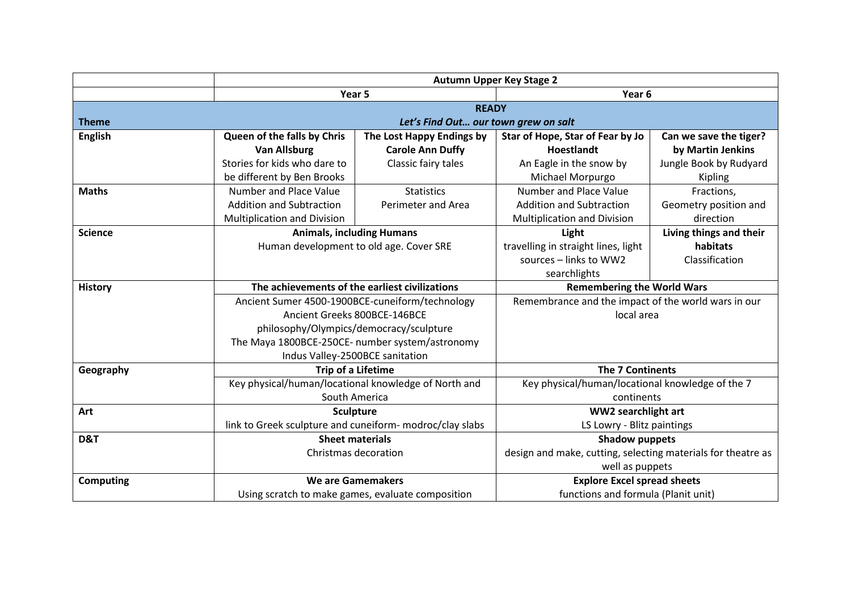|                                                                  |                                                   | <b>Autumn Upper Key Stage 2</b>                          |                                                     |                                                              |  |
|------------------------------------------------------------------|---------------------------------------------------|----------------------------------------------------------|-----------------------------------------------------|--------------------------------------------------------------|--|
|                                                                  |                                                   | Year 5                                                   |                                                     | Year 6                                                       |  |
|                                                                  |                                                   | <b>READY</b>                                             |                                                     |                                                              |  |
| <b>Theme</b><br>Let's Find Out our town grew on salt             |                                                   |                                                          |                                                     |                                                              |  |
| <b>English</b>                                                   | Queen of the falls by Chris                       | The Lost Happy Endings by                                | Star of Hope, Star of Fear by Jo                    | Can we save the tiger?                                       |  |
|                                                                  | <b>Van Allsburg</b>                               | <b>Carole Ann Duffy</b>                                  | <b>Hoestlandt</b>                                   | by Martin Jenkins                                            |  |
|                                                                  | Stories for kids who dare to                      | Classic fairy tales                                      | An Eagle in the snow by                             | Jungle Book by Rudyard                                       |  |
|                                                                  | be different by Ben Brooks                        |                                                          | Michael Morpurgo                                    | Kipling                                                      |  |
| <b>Maths</b>                                                     | Number and Place Value                            | <b>Statistics</b>                                        | Number and Place Value                              | Fractions,                                                   |  |
|                                                                  | <b>Addition and Subtraction</b>                   | Perimeter and Area                                       | <b>Addition and Subtraction</b>                     | Geometry position and                                        |  |
|                                                                  | <b>Multiplication and Division</b>                |                                                          | <b>Multiplication and Division</b>                  | direction                                                    |  |
| <b>Science</b>                                                   |                                                   | <b>Animals, including Humans</b>                         |                                                     | Living things and their                                      |  |
|                                                                  |                                                   | Human development to old age. Cover SRE                  |                                                     | habitats                                                     |  |
|                                                                  |                                                   |                                                          | sources - links to WW2                              | Classification                                               |  |
|                                                                  |                                                   |                                                          | searchlights                                        |                                                              |  |
| The achievements of the earliest civilizations<br><b>History</b> |                                                   |                                                          | <b>Remembering the World Wars</b>                   |                                                              |  |
|                                                                  | Ancient Sumer 4500-1900BCE-cuneiform/technology   |                                                          | Remembrance and the impact of the world wars in our |                                                              |  |
|                                                                  |                                                   | Ancient Greeks 800BCE-146BCE                             |                                                     | local area                                                   |  |
|                                                                  |                                                   | philosophy/Olympics/democracy/sculpture                  |                                                     |                                                              |  |
|                                                                  |                                                   | The Maya 1800BCE-250CE- number system/astronomy          |                                                     |                                                              |  |
|                                                                  | Indus Valley-2500BCE sanitation                   |                                                          |                                                     |                                                              |  |
| Geography                                                        |                                                   | <b>Trip of a Lifetime</b>                                |                                                     | <b>The 7 Continents</b>                                      |  |
|                                                                  |                                                   | Key physical/human/locational knowledge of North and     |                                                     | Key physical/human/locational knowledge of the 7             |  |
|                                                                  | South America                                     |                                                          | continents                                          |                                                              |  |
| Art                                                              | <b>Sculpture</b>                                  |                                                          | WW2 searchlight art                                 |                                                              |  |
|                                                                  |                                                   | link to Greek sculpture and cuneiform- modroc/clay slabs | LS Lowry - Blitz paintings                          |                                                              |  |
| D&T                                                              |                                                   | <b>Sheet materials</b>                                   |                                                     | <b>Shadow puppets</b>                                        |  |
|                                                                  |                                                   | Christmas decoration                                     |                                                     | design and make, cutting, selecting materials for theatre as |  |
|                                                                  |                                                   |                                                          | well as puppets                                     |                                                              |  |
| <b>Computing</b>                                                 | <b>We are Gamemakers</b>                          |                                                          | <b>Explore Excel spread sheets</b>                  |                                                              |  |
|                                                                  | Using scratch to make games, evaluate composition |                                                          | functions and formula (Planit unit)                 |                                                              |  |